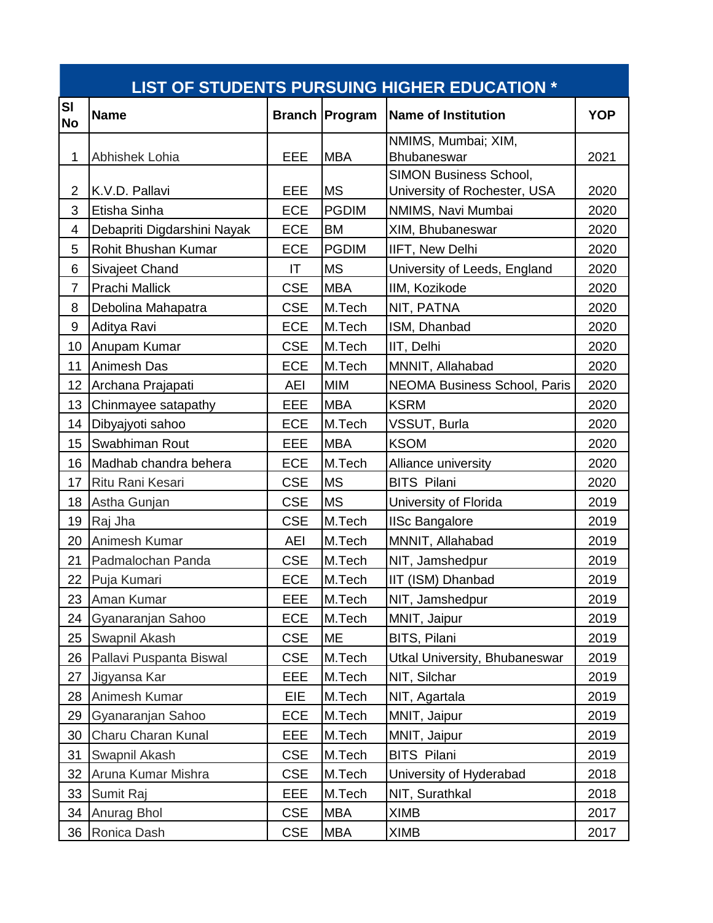| LIST OF STUDENTS PURSUING HIGHER EDUCATION * |                             |            |                       |                                                               |            |  |  |  |  |
|----------------------------------------------|-----------------------------|------------|-----------------------|---------------------------------------------------------------|------------|--|--|--|--|
| <b>SI</b><br><b>No</b>                       | <b>Name</b>                 |            | <b>Branch Program</b> | <b>Name of Institution</b>                                    | <b>YOP</b> |  |  |  |  |
| 1                                            | Abhishek Lohia              | EEE        | <b>MBA</b>            | NMIMS, Mumbai; XIM,<br>Bhubaneswar                            | 2021       |  |  |  |  |
| $\overline{2}$                               | K.V.D. Pallavi              | EEE        | <b>MS</b>             | <b>SIMON Business School,</b><br>University of Rochester, USA | 2020       |  |  |  |  |
| 3                                            | Etisha Sinha                | <b>ECE</b> | <b>PGDIM</b>          | NMIMS, Navi Mumbai                                            | 2020       |  |  |  |  |
| 4                                            | Debapriti Digdarshini Nayak | <b>ECE</b> | <b>BM</b>             | XIM, Bhubaneswar                                              | 2020       |  |  |  |  |
| 5                                            | Rohit Bhushan Kumar         | <b>ECE</b> | <b>PGDIM</b>          | IIFT, New Delhi                                               | 2020       |  |  |  |  |
| 6                                            | Sivajeet Chand              | IT         | <b>MS</b>             | University of Leeds, England                                  | 2020       |  |  |  |  |
| $\overline{7}$                               | <b>Prachi Mallick</b>       | <b>CSE</b> | <b>MBA</b>            | IIM, Kozikode                                                 | 2020       |  |  |  |  |
| 8                                            | Debolina Mahapatra          | <b>CSE</b> | M.Tech                | NIT, PATNA                                                    | 2020       |  |  |  |  |
| $\boldsymbol{9}$                             | Aditya Ravi                 | ECE        | M.Tech                | ISM, Dhanbad                                                  | 2020       |  |  |  |  |
| 10                                           | Anupam Kumar                | <b>CSE</b> | M.Tech                | IIT, Delhi                                                    | 2020       |  |  |  |  |
| 11                                           | Animesh Das                 | <b>ECE</b> | M.Tech                | MNNIT, Allahabad                                              | 2020       |  |  |  |  |
| 12                                           | Archana Prajapati           | <b>AEI</b> | <b>MIM</b>            | <b>NEOMA Business School, Paris</b>                           | 2020       |  |  |  |  |
| 13                                           | Chinmayee satapathy         | EEE        | <b>MBA</b>            | <b>KSRM</b>                                                   | 2020       |  |  |  |  |
| 14                                           | Dibyajyoti sahoo            | <b>ECE</b> | M.Tech                | VSSUT, Burla                                                  | 2020       |  |  |  |  |
| 15                                           | Swabhiman Rout              | EEE        | <b>MBA</b>            | <b>KSOM</b>                                                   | 2020       |  |  |  |  |
| 16                                           | Madhab chandra behera       | <b>ECE</b> | M.Tech                | Alliance university                                           | 2020       |  |  |  |  |
| 17                                           | Ritu Rani Kesari            | <b>CSE</b> | <b>MS</b>             | <b>BITS Pilani</b>                                            | 2020       |  |  |  |  |
| 18                                           | Astha Gunjan                | <b>CSE</b> | <b>MS</b>             | University of Florida                                         | 2019       |  |  |  |  |
| 19                                           | Raj Jha                     | <b>CSE</b> | M.Tech                | <b>IISc Bangalore</b>                                         | 2019       |  |  |  |  |
| 20                                           | Animesh Kumar               | <b>AEI</b> | M.Tech                | MNNIT, Allahabad                                              | 2019       |  |  |  |  |
| 21                                           | Padmalochan Panda           | <b>CSE</b> | M.Tech                | NIT, Jamshedpur                                               | 2019       |  |  |  |  |
| 22                                           | Puja Kumari                 | ECE        | M.Tech                | IIT (ISM) Dhanbad                                             | 2019       |  |  |  |  |
| 23                                           | Aman Kumar                  | EEE        | M.Tech                | NIT, Jamshedpur                                               | 2019       |  |  |  |  |
| 24                                           | Gyanaranjan Sahoo           | <b>ECE</b> | M.Tech                | MNIT, Jaipur                                                  | 2019       |  |  |  |  |
| 25                                           | Swapnil Akash               | <b>CSE</b> | ME                    | BITS, Pilani                                                  | 2019       |  |  |  |  |
| 26                                           | Pallavi Puspanta Biswal     | <b>CSE</b> | M.Tech                | Utkal University, Bhubaneswar                                 | 2019       |  |  |  |  |
| 27                                           | Jigyansa Kar                | EEE        | M.Tech                | NIT, Silchar                                                  | 2019       |  |  |  |  |
| 28                                           | Animesh Kumar               | <b>EIE</b> | M.Tech                | NIT, Agartala                                                 | 2019       |  |  |  |  |
| 29                                           | Gyanaranjan Sahoo           | <b>ECE</b> | M.Tech                | MNIT, Jaipur                                                  | 2019       |  |  |  |  |
| 30                                           | Charu Charan Kunal          | EEE        | M.Tech                | MNIT, Jaipur                                                  | 2019       |  |  |  |  |
| 31                                           | Swapnil Akash               | <b>CSE</b> | M.Tech                | <b>BITS Pilani</b>                                            | 2019       |  |  |  |  |
| 32                                           | Aruna Kumar Mishra          | <b>CSE</b> | M.Tech                | University of Hyderabad                                       | 2018       |  |  |  |  |
| 33                                           | Sumit Raj                   | EEE        | M.Tech                | NIT, Surathkal                                                | 2018       |  |  |  |  |
| 34                                           | Anurag Bhol                 | <b>CSE</b> | <b>MBA</b>            | <b>XIMB</b>                                                   | 2017       |  |  |  |  |
| 36                                           | Ronica Dash                 | <b>CSE</b> | <b>MBA</b>            | <b>XIMB</b>                                                   | 2017       |  |  |  |  |